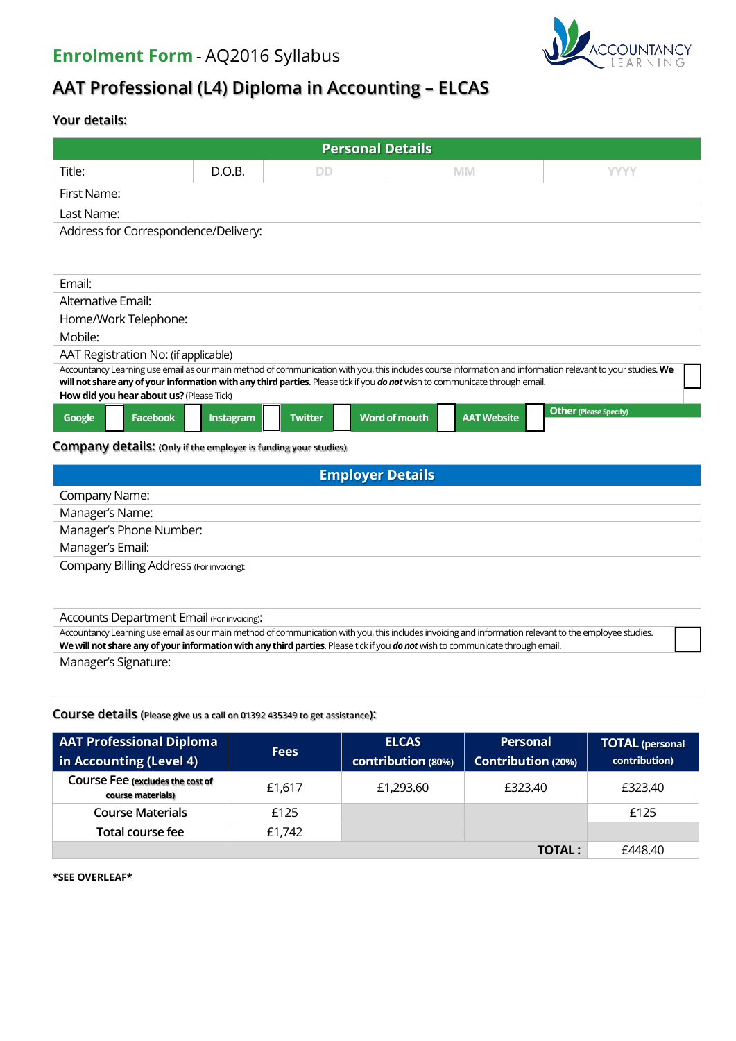# **Enrolment Form** - AQ2016 Syllabus



# **AAT Professional (L4) Diploma in Accounting – ELCAS**

# **Your details:**

| <b>Personal Details</b>                                                                                                                                                                                                                                                                   |           |                |                                            |                               |  |  |
|-------------------------------------------------------------------------------------------------------------------------------------------------------------------------------------------------------------------------------------------------------------------------------------------|-----------|----------------|--------------------------------------------|-------------------------------|--|--|
| Title:                                                                                                                                                                                                                                                                                    | D.O.B.    | <b>DD</b>      | <b>MM</b>                                  | <b>YYYY</b>                   |  |  |
| First Name:                                                                                                                                                                                                                                                                               |           |                |                                            |                               |  |  |
| Last Name:                                                                                                                                                                                                                                                                                |           |                |                                            |                               |  |  |
| Address for Correspondence/Delivery:                                                                                                                                                                                                                                                      |           |                |                                            |                               |  |  |
|                                                                                                                                                                                                                                                                                           |           |                |                                            |                               |  |  |
| Email:                                                                                                                                                                                                                                                                                    |           |                |                                            |                               |  |  |
| Alternative Email:                                                                                                                                                                                                                                                                        |           |                |                                            |                               |  |  |
| Home/Work Telephone:                                                                                                                                                                                                                                                                      |           |                |                                            |                               |  |  |
| Mobile:                                                                                                                                                                                                                                                                                   |           |                |                                            |                               |  |  |
| AAT Registration No: (if applicable)                                                                                                                                                                                                                                                      |           |                |                                            |                               |  |  |
| Accountancy Learning use email as our main method of communication with you, this includes course information and information relevant to your studies. We<br>will not share any of your information with any third parties. Please tick if you do not wish to communicate through email. |           |                |                                            |                               |  |  |
| How did you hear about us? (Please Tick)                                                                                                                                                                                                                                                  |           |                |                                            |                               |  |  |
| <b>Facebook</b><br>Google                                                                                                                                                                                                                                                                 | Instagram | <b>Twitter</b> | <b>Word of mouth</b><br><b>AAT Website</b> | <b>Other (Please Specify)</b> |  |  |

# **Company details: (Only if the employer is funding your studies)**

| <b>Employer Details</b>                                                                                                                                                                                                                                                                  |  |  |  |
|------------------------------------------------------------------------------------------------------------------------------------------------------------------------------------------------------------------------------------------------------------------------------------------|--|--|--|
| Company Name:                                                                                                                                                                                                                                                                            |  |  |  |
| Manager's Name:                                                                                                                                                                                                                                                                          |  |  |  |
| Manager's Phone Number:                                                                                                                                                                                                                                                                  |  |  |  |
| Manager's Email:                                                                                                                                                                                                                                                                         |  |  |  |
| Company Billing Address (For invoicing):                                                                                                                                                                                                                                                 |  |  |  |
|                                                                                                                                                                                                                                                                                          |  |  |  |
| Accounts Department Email (For invoicing):                                                                                                                                                                                                                                               |  |  |  |
| Accountancy Learning use email as our main method of communication with you, this includes invoicing and information relevant to the employee studies.<br>We will not share any of your information with any third parties. Please tick if you do not wish to communicate through email. |  |  |  |
| Manager's Signature:                                                                                                                                                                                                                                                                     |  |  |  |
|                                                                                                                                                                                                                                                                                          |  |  |  |

# **Course details (Please give us a call on 01392 435349 to get assistance):**

| <b>AAT Professional Diploma</b><br>in Accounting (Level 4) | <b>Fees</b> | <b>ELCAS</b><br>contribution (80%) | <b>Personal</b><br><b>Contribution (20%)</b> | <b>TOTAL (personal</b><br>contribution) |
|------------------------------------------------------------|-------------|------------------------------------|----------------------------------------------|-----------------------------------------|
| COUISE Fee (excludes the cost of<br>course materials)      | £1,617      | £1,293.60                          | £323.40                                      | £323.40                                 |
| <b>Course Materials</b>                                    | £125        |                                    |                                              | £125                                    |
| Total course fee                                           | £1,742      |                                    |                                              |                                         |
|                                                            |             |                                    | TOTAL:                                       | £448.40                                 |

# **\*SEE OVERLEAF\***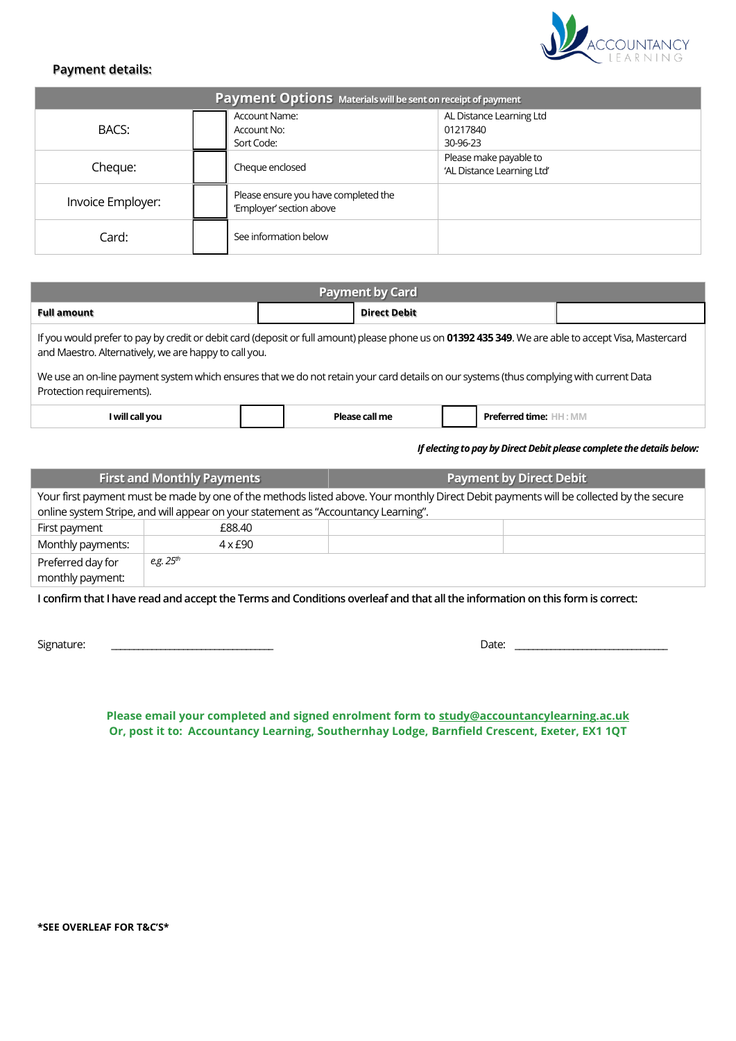

# **Payment details:**

| Payment Options Materials will be sent on receipt of payment |                                                   |                                      |                                                      |  |
|--------------------------------------------------------------|---------------------------------------------------|--------------------------------------|------------------------------------------------------|--|
| BACS:                                                        | <b>Account Name:</b><br>Account No:<br>Sort Code: |                                      | AL Distance Learning Ltd<br>01217840<br>30-96-23     |  |
| Cheque:                                                      | Cheque enclosed                                   |                                      | Please make payable to<br>'AL Distance Learning Ltd' |  |
| Invoice Employer:                                            | 'Employer' section above                          | Please ensure you have completed the |                                                      |  |
| Card:                                                        | See information below                             |                                      |                                                      |  |

| <b>Payment by Card</b>                                                                                                                                                                                        |  |                     |  |  |  |
|---------------------------------------------------------------------------------------------------------------------------------------------------------------------------------------------------------------|--|---------------------|--|--|--|
| <b>Full amount</b>                                                                                                                                                                                            |  | <b>Direct Debit</b> |  |  |  |
| If you would prefer to pay by credit or debit card (deposit or full amount) please phone us on 01392 435 349. We are able to accept Visa, Mastercard<br>and Maestro. Alternatively, we are happy to call you. |  |                     |  |  |  |
| We use an on-line payment system which ensures that we do not retain your card details on our systems (thus complying with current Data<br>Protection requirements).                                          |  |                     |  |  |  |

| $\cdots$<br>Twill call you | ĐЬ.<br>rall mr | <b>DEA</b><br>J time:<br>≛ IVII\. |
|----------------------------|----------------|-----------------------------------|
|----------------------------|----------------|-----------------------------------|

 *If electing to pay by Direct Debit please complete the details below:*

| <b>First and Monthly Payments</b>                                                                                                      |                | <b>Payment by Direct Debit</b> |  |  |
|----------------------------------------------------------------------------------------------------------------------------------------|----------------|--------------------------------|--|--|
| Your first payment must be made by one of the methods listed above. Your monthly Direct Debit payments will be collected by the secure |                |                                |  |  |
| online system Stripe, and will appear on your statement as "Accountancy Learning".                                                     |                |                                |  |  |
| First payment                                                                                                                          | £88.40         |                                |  |  |
| Monthly payments:                                                                                                                      | $4 \times £90$ |                                |  |  |
| Preferred day for                                                                                                                      | e.g. $25^{th}$ |                                |  |  |
| monthly payment:                                                                                                                       |                |                                |  |  |

**I confirm that I have read and accept the Terms and Conditions overleaf and that all the information on this form is correct:**

Signature: \_\_\_\_\_\_\_\_\_\_\_\_\_\_\_\_\_\_\_\_\_\_\_\_\_\_\_\_\_\_\_\_\_\_\_\_ Date: \_\_\_\_\_\_\_\_\_\_\_\_\_\_\_\_\_\_\_\_\_\_\_\_\_\_\_\_\_\_\_\_\_\_

**Please email your completed and signed enrolment form to [study@accountancylearning.ac.uk](mailto:study@accountancylearning.co.uk) Or, post it to: Accountancy Learning, Southernhay Lodge, Barnfield Crescent, Exeter, EX1 1QT**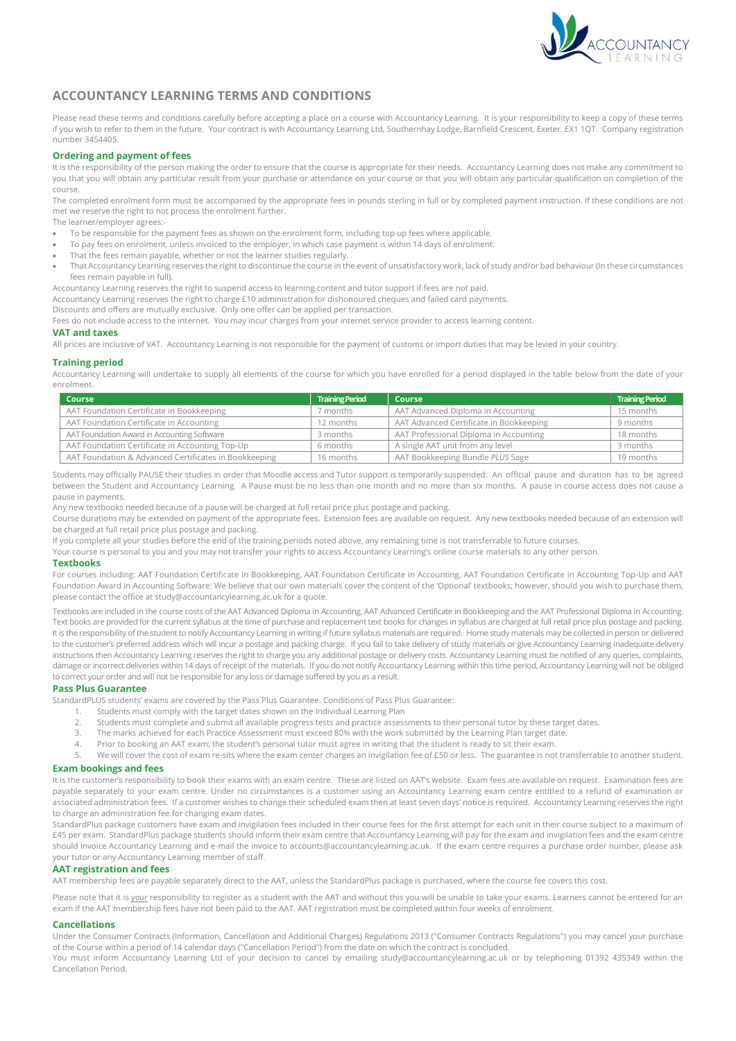

# **ACCOUNTANCY LEARNING TERMS AND CONDITIONS**

Please read these terms and conditions carefully before accepting a place on a course with Accountancy Learning. It is your responsibility to keep a copy of these terms if you wish to refer to them in the future. Your contract is with Accountancy Learning Ltd, Southernhay Lodge, Barnfield Crescent, Exeter. EX1 1QT. Company registration number 3454405.

#### **Ordering and payment of fees**

It is the responsibility of the person making the order to ensure that the course is appropriate for their needs. Accountancy Learning does not make any commitment to you that you will obtain any particular result from your purchase or attendance on your course or that you will obtain any particular qualification on completion of the course.

The completed enrolment form must be accompanied by the appropriate fees in pounds sterling in full or by completed payment instruction. If these conditions are not met we reserve the right to not process the enrolment further.

The learner/employer agrees:-

- To be responsible for the payment fees as shown on the enrolment form, including top up fees where applicable.
- To pay fees on enrolment, unless invoiced to the employer, in which case payment is within 14 days of enrolment.
- That the fees remain payable, whether or not the learner studies regularly.
- That Accountancy Learning reserves the right to discontinue the course in the event of unsatisfactory work, lack of study and/or bad behaviour (In these circumstances fees remain payable in full).

Accountancy Learning reserves the right to suspend access to learning content and tutor support if fees are not paid.

Accountancy Learning reserves the right to charge £10 administration for dishonoured cheques and failed card payments.

Discounts and offers are mutually exclusive. Only one offer can be applied per transaction.

Fees do not include access to the internet. You may incur charges from your internet service provider to access learning content.

#### **VAT and taxes**

All prices are inclusive of VAT. Accountancy Learning is not responsible for the payment of customs or import duties that may be levied in your country.

#### **Training period**

Accountancy Learning will undertake to supply all elements of the course for which you have enrolled for a period displayed in the table below from the date of your enrolment.

| Course                                                | <b>Training Period</b> | <b>Course</b>                           | <b>Training Period</b> |
|-------------------------------------------------------|------------------------|-----------------------------------------|------------------------|
| AAT Foundation Certificate in Bookkeeping             | 7 months               | AAT Advanced Diploma in Accounting      | 15 months              |
| AAT Foundation Certificate in Accounting              | 12 months              | AAT Advanced Certificate in Bookkeeping | 9 months               |
| AAT Foundation Award in Accounting Software           | 3 months               | AAT Professional Diploma in Accounting  | 18 months              |
| AAT Foundation Certificate in Accounting Top-Up       | 6 months               | A single AAT unit from any level        | 3 months               |
| AAT Foundation & Advanced Certificates in Bookkeeping | 16 months              | AAT Bookkeeping Bundle PLUS Sage        | 19 months              |

Students may officially PAUSE their studies in order that Moodle access and Tutor support is temporarily suspended. An official pause and duration has to be agreed between the Student and Accountancy Learning. A Pause must be no less than one month and no more than six months. A pause in course access does not cause a pause in payments.

.<br>Any new textbooks needed because of a pause will be charged at full retail price plus postage and packing.

Course durations may be extended on payment of the appropriate fees. Extension fees are available on request. Any new textbooks needed because of an extension will be charged at full retail price plus postage and packing.

If you complete all your studies before the end of the training periods noted above, any remaining time is not transferrable to future courses.

Your course is personal to you and you may not transfer your rights to access Accountancy Learning's online course materials to any other person.

#### **Textbooks**

For courses including: AAT Foundation Certificate in Bookkeeping, AAT Foundation Certificate in Accounting, AAT Foundation Certificate in Accounting Top-Up and AAT Foundation Award in Accounting Software: We believe that our own materials cover the content of the 'Optional' textbooks; however, should you wish to purchase them, please contact the office at study@accountancylearning.ac.uk for a quote.

Textbooks are included in the course costs of the AAT Advanced Diploma in Accounting, AAT Advanced Certificate in Bookkeeping and the AAT Professional Diploma in Accounting. Text books are provided for the current syllabus at the time of purchase and replacement text books for changes in syllabus are charged at full retail price plus postage and packing. It is the responsibility of the student to notify Accountancy Learning in writing if future syllabus materials are required. Home study materials may be collected in person or delivered to the customer's preferred address which will incur a postage and packing charge. If you fail to take delivery of study materials or give Accountancy Learning inadequate delivery instructions then Accountancy Learning reserves the right to charge you any additional postage or delivery costs. Accountancy Learning must be notified of any queries, complaints, damage or incorrect deliveries within 14 days of receipt of the materials. If you do not notify Accountancy Learning within this time period, Accountancy Learning will not be obliged to correct your order and will not be responsible for any loss or damage suffered by you as a result.

## **Pass Plus Guarantee**

StandardPLUS students' exams are covered by the Pass Plus Guarantee. Conditions of Pass Plus Guarantee:

- 1. Students must comply with the target dates shown on the Individual Learning Plan<br>2. Students must complete and submit all available progress tests and practice assess
	- 2. Students must complete and submit all available progress tests and practice assessments to their personal tutor by these target dates.
- 3. The marks achieved for each Practice Assessment must exceed 80% with the work submitted by the Learning Plan target date.
- 4. Prior to booking an AAT exam, the student's personal tutor must agree in writing that the student is ready to sit their exam.
- 5. We will cover the cost of exam re-sits where the exam center charges an invigilation fee of £50 or less. The guarantee is not transferrable to another student.

#### **Exam bookings and fees**

It is the customer's responsibility to book their exams with an exam centre. These are listed on AAT's website. Exam fees are available on request. Examination fees are payable separately to your exam centre. Under no circumstances is a customer using an Accountancy Learning exam centre entitled to a refund of examination or associated administration fees. If a customer wishes to change their scheduled exam then at least seven days' notice is required. Accountancy Learning reserves the right to charge an administration fee for changing exam dates.

StandardPlus package customers have exam and invigilation fees included in their course fees for the first attempt for each unit in their course subject to a maximum of £45 per exam. StandardPlus package students should inform their exam centre that Accountancy Learning will pay for the exam and invigilation fees and the exam centre should invoice Accountancy Learning and e-mail the invoice to accounts@accountancylearning.ac.uk. If the exam centre requires a purchase order number, please ask your tutor or any Accountancy Learning member of staff.

#### **AAT registration and fees**

AAT membership fees are payable separately direct to the AAT, unless the StandardPlus package is purchased, where the course fee covers this cost.

Please note that it is *your* responsibility to register as a student with the AAT and without this you will be unable to take your exams. Learners cannot be entered for an exam if the AAT membership fees have not been paid to the AAT. AAT registration must be completed within four weeks of enrolment.

## **Cancellations**

Under the Consumer Contracts (Information, Cancellation and Additional Charges) Regulations 2013 ("Consumer Contracts Regulations") you may cancel your purchase of the Course within a period of 14 calendar days ("Cancellation Period") from the date on which the contract is concluded.

You must inform Accountancy Learning Ltd of your decision to cancel by emailing study@accountancylearning.ac.uk or by telephoning 01392 435349 within the Cancellation Period.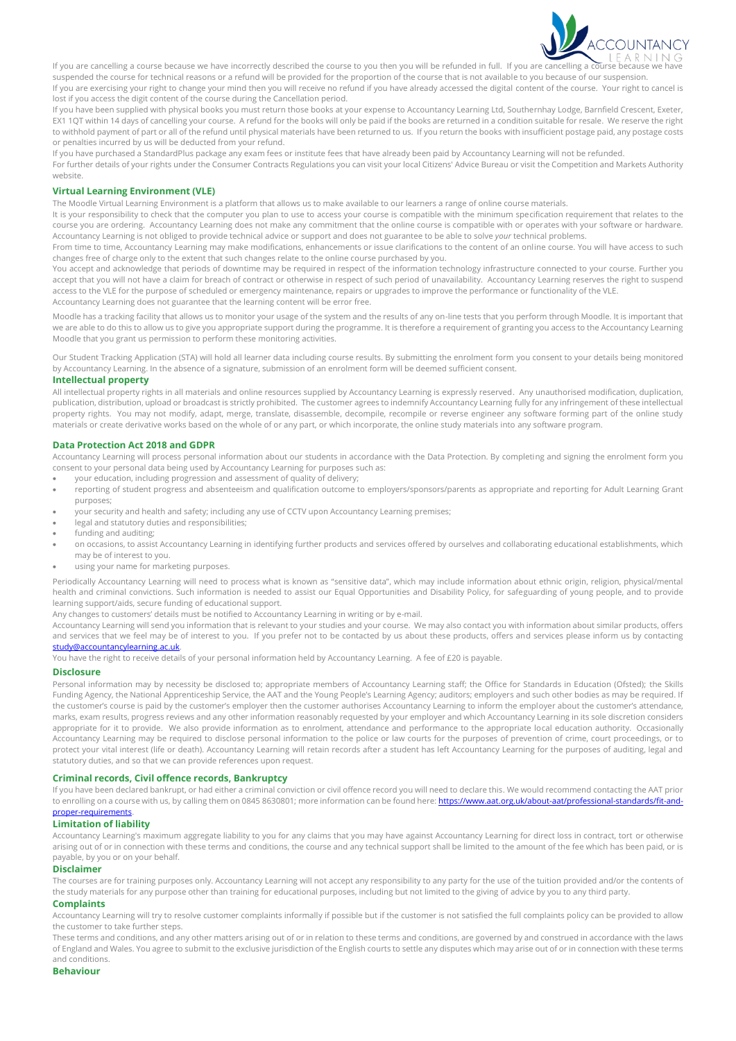

If you are cancelling a course because we have incorrectly described the course to you then you will be refunded in full. If you are cancelling a course because suspended the course for technical reasons or a refund will be provided for the proportion of the course that is not available to you because of our suspension. If you are exercising your right to change your mind then you will receive no refund if you have already accessed the digital content of the course. Your right to cancel is lost if you access the digit content of the course during the Cancellation period.

If you have been supplied with physical books you must return those books at your expense to Accountancy Learning Ltd, Southernhay Lodge, Barnfield Crescent, Exeter, EX1 1QT within 14 days of cancelling your course. A refund for the books will only be paid if the books are returned in a condition suitable for resale. We reserve the right to withhold payment of part or all of the refund until physical materials have been returned to us. If you return the books with insufficient postage paid, any postage costs or penalties incurred by us will be deducted from your refund.

If you have purchased a StandardPlus package any exam fees or institute fees that have already been paid by Accountancy Learning will not be refunded.

For further details of your rights under the Consumer Contracts Regulations you can visit your local Citizens' Advice Bureau or visit the Competition and Markets Authority website.

#### **Virtual Learning Environment (VLE)**

The Moodle Virtual Learning Environment is a platform that allows us to make available to our learners a range of online course materials.

It is your responsibility to check that the computer you plan to use to access your course is compatible with the minimum specification requirement that relates to the course you are ordering. Accountancy Learning does not make any commitment that the online course is compatible with or operates with your software or hardware. Accountancy Learning is not obliged to provide technical advice or support and does not guarantee to be able to solve *your* technical problems.

From time to time, Accountancy Learning may make modifications, enhancements or issue clarifications to the content of an online course. You will have access to such changes free of charge only to the extent that such changes relate to the online course purchased by you.

You accept and acknowledge that periods of downtime may be required in respect of the information technology infrastructure connected to your course. Further you accept that you will not have a claim for breach of contract or otherwise in respect of such period of unavailability. Accountancy Learning reserves the right to suspend access to the VLE for the purpose of scheduled or emergency maintenance, repairs or upgrades to improve the performance or functionality of the VLE. Accountancy Learning does not guarantee that the learning content will be error free.

Moodle has a tracking facility that allows us to monitor your usage of the system and the results of any on-line tests that you perform through Moodle. It is important that we are able to do this to allow us to give you appropriate support during the programme. It is therefore a requirement of granting you access to the Accountancy Learning Moodle that you grant us permission to perform these monitoring activities.

Our Student Tracking Application (STA) will hold all learner data including course results. By submitting the enrolment form you consent to your details being monitored by Accountancy Learning. In the absence of a signature, submission of an enrolment form will be deemed sufficient consent.

#### **Intellectual property**

All intellectual property rights in all materials and online resources supplied by Accountancy Learning is expressly reserved. Any unauthorised modification, duplication, publication, distribution, upload or broadcast is strictly prohibited. The customer agrees to indemnify Accountancy Learning fully for any infringement of these intellectual property rights. You may not modify, adapt, merge, translate, disassemble, decompile, recompile or reverse engineer any software forming part of the online study materials or create derivative works based on the whole of or any part, or which incorporate, the online study materials into any software program.

#### **Data Protection Act 2018 and GDPR**

Accountancy Learning will process personal information about our students in accordance with the Data Protection. By completing and signing the enrolment form you consent to your personal data being used by Accountancy Learning for purposes such as:

- your education, including progression and assessment of quality of delivery;
- reporting of student progress and absenteeism and qualification outcome to employers/sponsors/parents as appropriate and reporting for Adult Learning Grant purposes;
- your security and health and safety; including any use of CCTV upon Accountancy Learning premises;
- legal and statutory duties and responsibilities;
- funding and auditing;
- on occasions, to assist Accountancy Learning in identifying further products and services offered by ourselves and collaborating educational establishments, which may be of interest to you.
- using your name for marketing purposes.

Periodically Accountancy Learning will need to process what is known as "sensitive data", which may include information about ethnic origin, religion, physical/mental health and criminal convictions. Such information is needed to assist our Equal Opportunities and Disability Policy, for safeguarding of young people, and to provide learning support/aids, secure funding of educational support.

Any changes to customers' details must be notified to Accountancy Learning in writing or by e-mail.

Accountancy Learning will send you information that is relevant to your studies and your course. We may also contact you with information about similar products, offers and services that we feel may be of interest to you. If you prefer not to be contacted by us about these products, offers and services please inform us by contacting [study@accountancylearning.ac.uk.](mailto:study@accountancylearning.ac.uk)

You have the right to receive details of your personal information held by Accountancy Learning. A fee of £20 is payable.

## **Disclosure**

Personal information may by necessity be disclosed to; appropriate members of Accountancy Learning staff; the Office for Standards in Education (Ofsted); the Skills Funding Agency, the National Apprenticeship Service, the AAT and the Young People's Learning Agency; auditors; employers and such other bodies as may be required. If the customer's course is paid by the customer's employer then the customer authorises Accountancy Learning to inform the employer about the customer's attendance, marks, exam results, progress reviews and any other information reasonably requested by your employer and which Accountancy Learning in its sole discretion considers appropriate for it to provide. We also provide information as to enrolment, attendance and performance to the appropriate local education authority. Occasionally Accountancy Learning may be required to disclose personal information to the police or law courts for the purposes of prevention of crime, court proceedings, or to protect your vital interest (life or death). Accountancy Learning will retain records after a student has left Accountancy Learning for the purposes of auditing, legal and statutory duties, and so that we can provide references upon request.

## **Criminal records, Civil offence records, Bankruptcy**

If you have been declared bankrupt, or had either a criminal conviction or civil offence record you will need to declare this. We would recommend contacting the AAT prior to enrolling on a course with us, by calling them on 0845 8630801; more information can be found here[: https://www.aat.org.uk/about-aat/professional-standards/fit-and](https://www.aat.org.uk/about-aat/professional-standards/fit-and-proper-requirements)[proper-requirements.](https://www.aat.org.uk/about-aat/professional-standards/fit-and-proper-requirements)

# **Limitation of liability**

Accountancy Learning's maximum aggregate liability to you for any claims that you may have against Accountancy Learning for direct loss in contract, tort or otherwise arising out of or in connection with these terms and conditions, the course and any technical support shall be limited to the amount of the fee which has been paid, or is payable, by you or on your behalf.

#### **Disclaimer**

The courses are for training purposes only. Accountancy Learning will not accept any responsibility to any party for the use of the tuition provided and/or the contents of the study materials for any purpose other than training for educational purposes, including but not limited to the giving of advice by you to any third party.

# **Complaints**

Accountancy Learning will try to resolve customer complaints informally if possible but if the customer is not satisfied the full complaints policy can be provided to allow the customer to take further steps.

These terms and conditions, and any other matters arising out of or in relation to these terms and conditions, are governed by and construed in accordance with the laws of England and Wales. You agree to submit to the exclusive jurisdiction of the English courts to settle any disputes which may arise out of or in connection with these terms and conditions.

## **Behaviour**